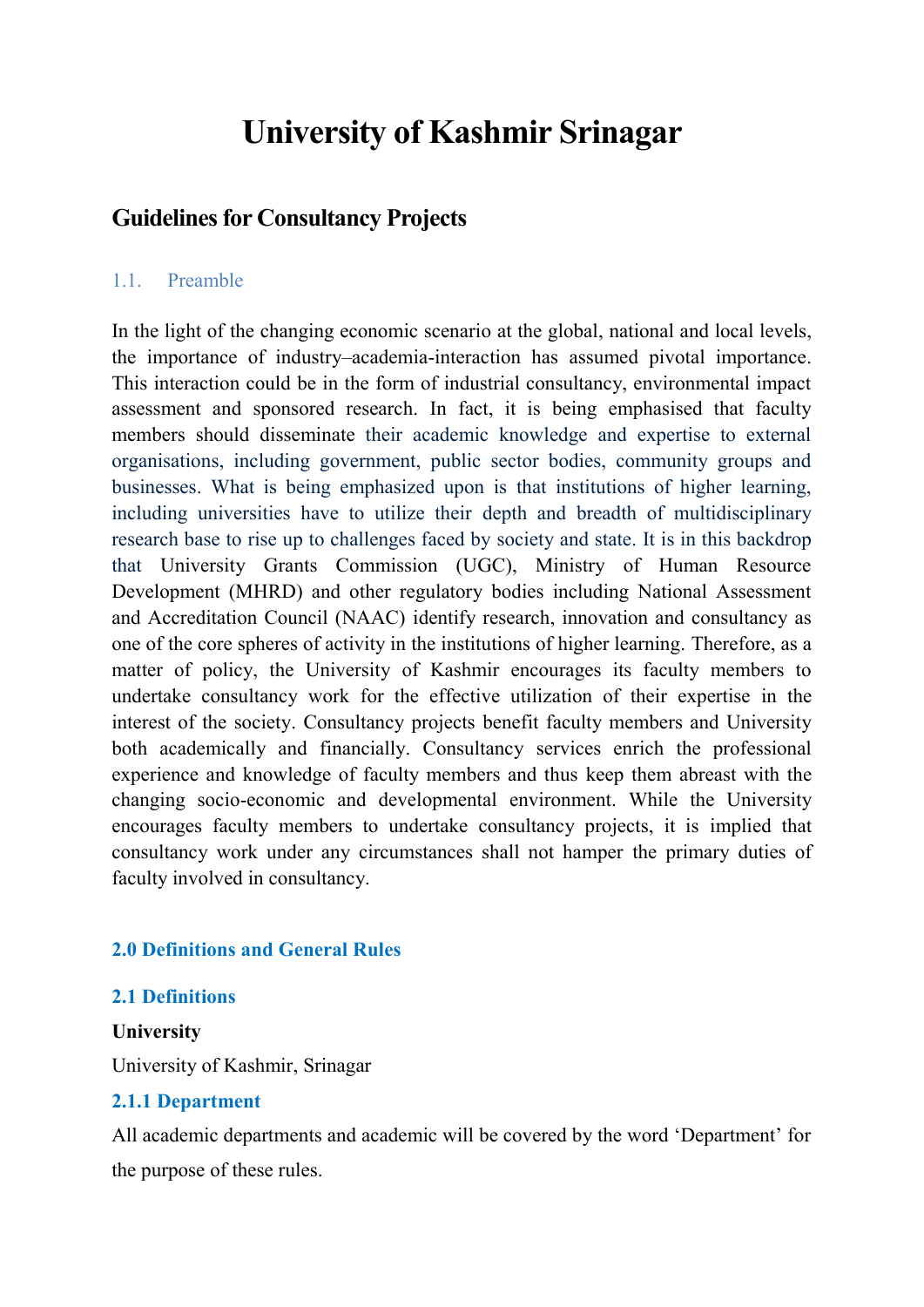# **University of Kashmir Srinagar**

# **Guidelines for Consultancy Projects**

#### 1.1. Preamble

In the light of the changing economic scenario at the global, national and local levels, the importance of industry–academia-interaction has assumed pivotal importance. This interaction could be in the form of industrial consultancy, environmental impact assessment and sponsored research. In fact, it is being emphasised that faculty members should disseminate their academic knowledge and expertise to external organisations, including government, public sector bodies, community groups and businesses. What is being emphasized upon is that institutions of higher learning, including universities have to utilize their depth and breadth of multidisciplinary research base to rise up to challenges faced by society and state. It is in this backdrop that University Grants Commission (UGC), Ministry of Human Resource Development (MHRD) and other regulatory bodies including National Assessment and Accreditation Council (NAAC) identify research, innovation and consultancy as one of the core spheres of activity in the institutions of higher learning. Therefore, as a matter of policy, the University of Kashmir encourages its faculty members to undertake consultancy work for the effective utilization of their expertise in the interest of the society. Consultancy projects benefit faculty members and University both academically and financially. Consultancy services enrich the professional experience and knowledge of faculty members and thus keep them abreast with the changing socio-economic and developmental environment. While the University encourages faculty members to undertake consultancy projects, it is implied that consultancy work under any circumstances shall not hamper the primary duties of faculty involved in consultancy.

## **2.0 Definitions and General Rules**

## **2.1 Definitions**

#### **University**

University of Kashmir, Srinagar

#### **2.1.1 Department**

All academic departments and academic will be covered by the word 'Department' for the purpose of these rules.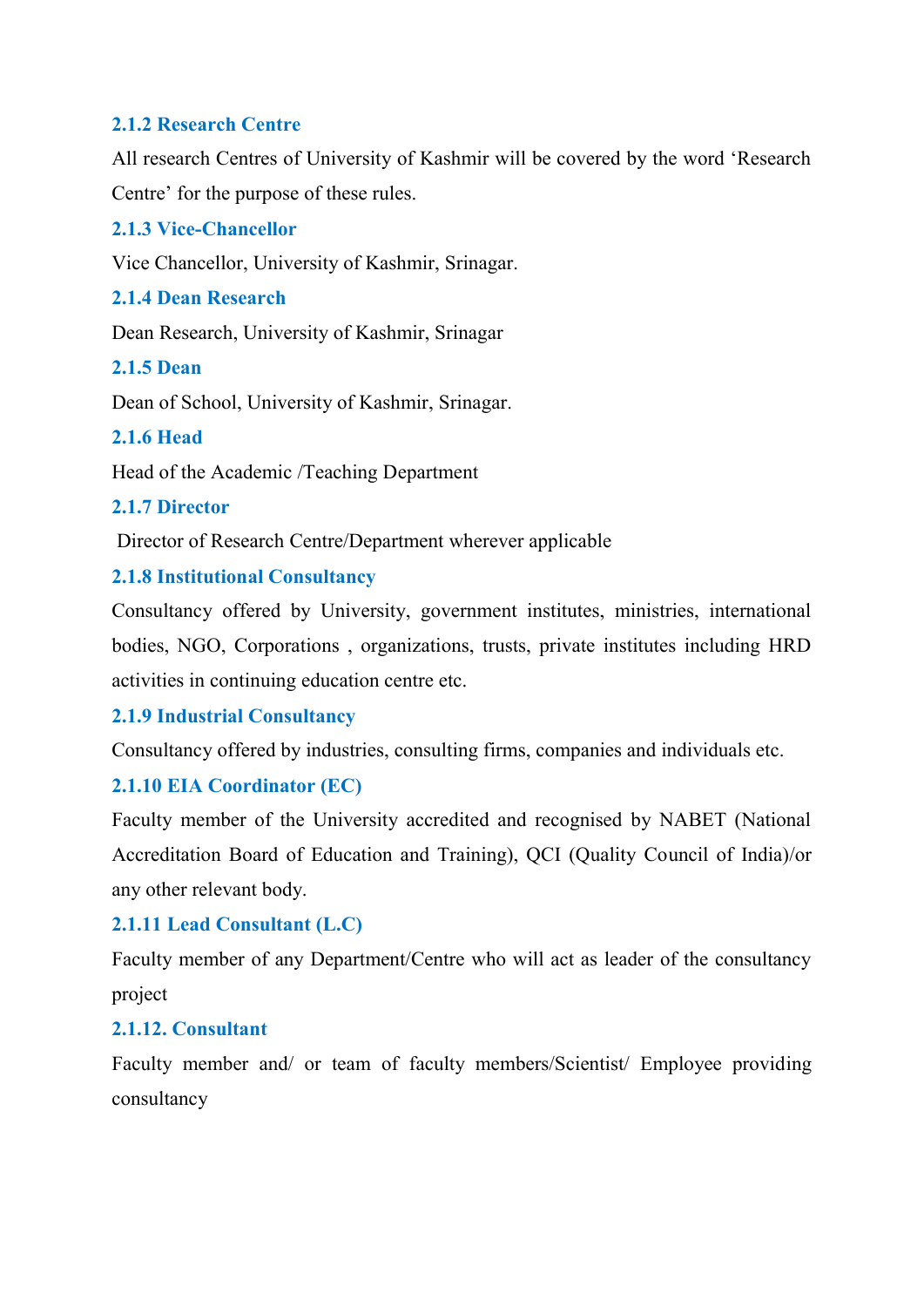## **2.1.2 Research Centre**

All research Centres of University of Kashmir will be covered by the word 'Research Centre' for the purpose of these rules.

## **2.1.3 Vice-Chancellor**

Vice Chancellor, University of Kashmir, Srinagar.

## **2.1.4 Dean Research**

Dean Research, University of Kashmir, Srinagar

## **2.1.5 Dean**

Dean of School, University of Kashmir, Srinagar.

## **2.1.6 Head**

Head of the Academic /Teaching Department

## **2.1.7 Director**

Director of Research Centre/Department wherever applicable

# **2.1.8 Institutional Consultancy**

Consultancy offered by University, government institutes, ministries, international bodies, NGO, Corporations , organizations, trusts, private institutes including HRD activities in continuing education centre etc.

# **2.1.9 Industrial Consultancy**

Consultancy offered by industries, consulting firms, companies and individuals etc.

# **2.1.10 EIA Coordinator (EC)**

Faculty member of the University accredited and recognised by NABET (National Accreditation Board of Education and Training), QCI (Quality Council of India)/or any other relevant body.

# **2.1.11 Lead Consultant (L.C)**

Faculty member of any Department/Centre who will act as leader of the consultancy project

## **2.1.12. Consultant**

Faculty member and/ or team of faculty members/Scientist/ Employee providing consultancy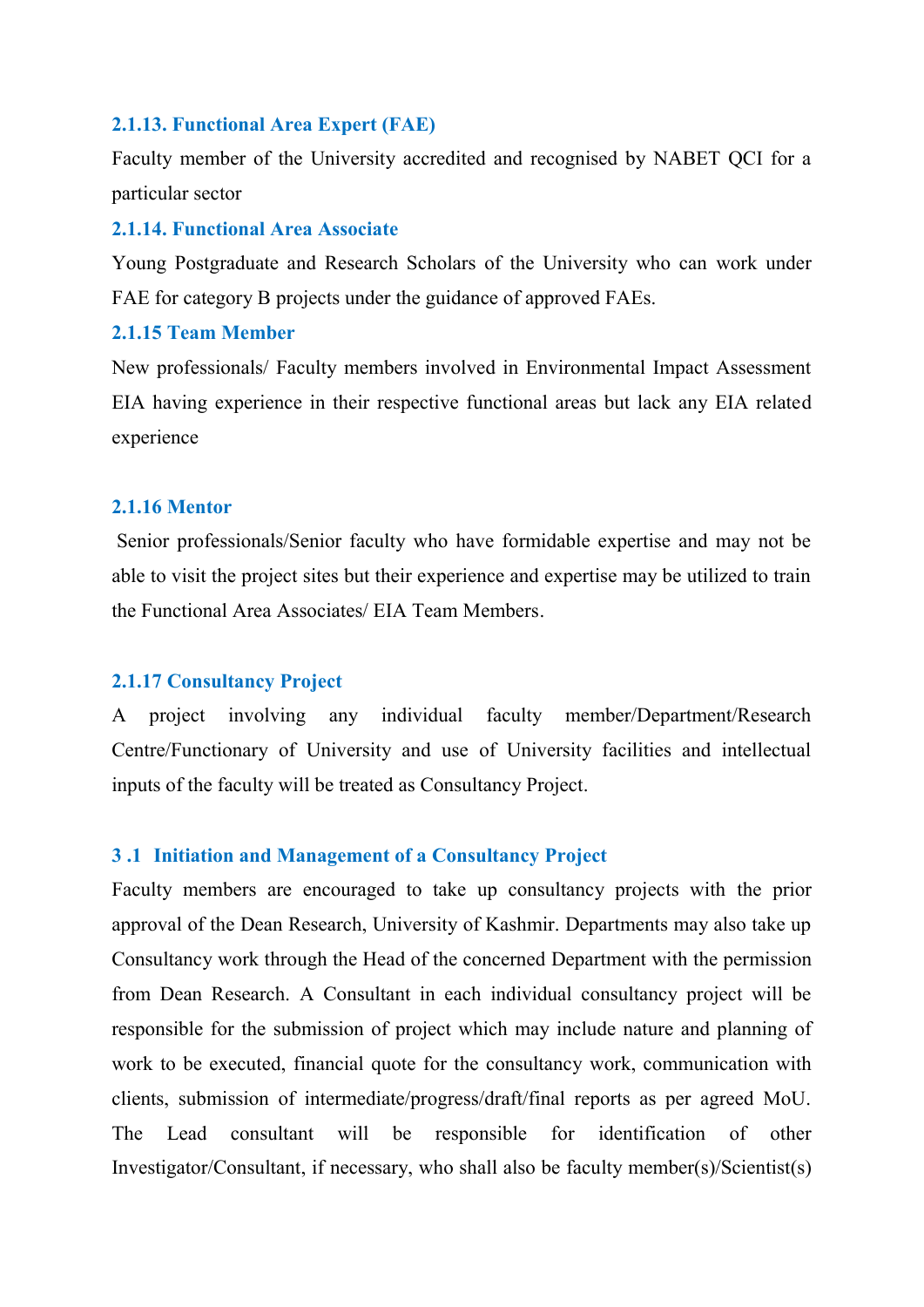#### **2.1.13. Functional Area Expert (FAE)**

Faculty member of the University accredited and recognised by NABET QCI for a particular sector

#### **2.1.14. Functional Area Associate**

Young Postgraduate and Research Scholars of the University who can work under FAE for category B projects under the guidance of approved FAEs.

## **2.1.15 Team Member**

New professionals/ Faculty members involved in Environmental Impact Assessment EIA having experience in their respective functional areas but lack any EIA related experience

## **2.1.16 Mentor**

Senior professionals/Senior faculty who have formidable expertise and may not be able to visit the project sites but their experience and expertise may be utilized to train the Functional Area Associates/ EIA Team Members.

## **2.1.17 Consultancy Project**

A project involving any individual faculty member/Department/Research Centre/Functionary of University and use of University facilities and intellectual inputs of the faculty will be treated as Consultancy Project.

## **3 .1 Initiation and Management of a Consultancy Project**

Faculty members are encouraged to take up consultancy projects with the prior approval of the Dean Research, University of Kashmir. Departments may also take up Consultancy work through the Head of the concerned Department with the permission from Dean Research. A Consultant in each individual consultancy project will be responsible for the submission of project which may include nature and planning of work to be executed, financial quote for the consultancy work, communication with clients, submission of intermediate/progress/draft/final reports as per agreed MoU. The Lead consultant will be responsible for identification of other Investigator/Consultant, if necessary, who shall also be faculty member(s)/Scientist(s)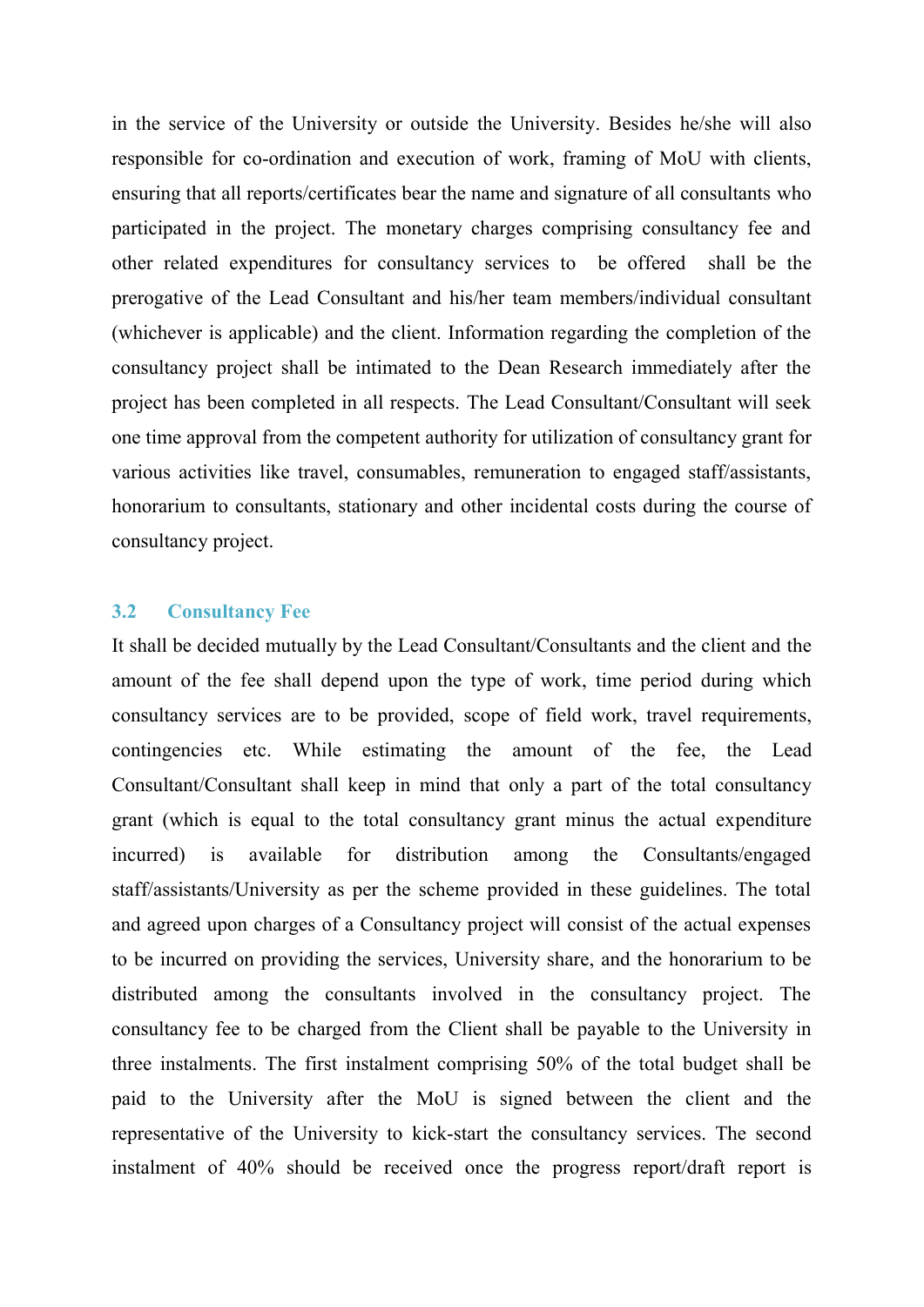in the service of the University or outside the University. Besides he/she will also responsible for co-ordination and execution of work, framing of MoU with clients, ensuring that all reports/certificates bear the name and signature of all consultants who participated in the project. The monetary charges comprising consultancy fee and other related expenditures for consultancy services to be offered shall be the prerogative of the Lead Consultant and his/her team members/individual consultant (whichever is applicable) and the client. Information regarding the completion of the consultancy project shall be intimated to the Dean Research immediately after the project has been completed in all respects. The Lead Consultant/Consultant will seek one time approval from the competent authority for utilization of consultancy grant for various activities like travel, consumables, remuneration to engaged staff/assistants, honorarium to consultants, stationary and other incidental costs during the course of consultancy project.

#### **3.2 Consultancy Fee**

It shall be decided mutually by the Lead Consultant/Consultants and the client and the amount of the fee shall depend upon the type of work, time period during which consultancy services are to be provided, scope of field work, travel requirements, contingencies etc. While estimating the amount of the fee, the Lead Consultant/Consultant shall keep in mind that only a part of the total consultancy grant (which is equal to the total consultancy grant minus the actual expenditure incurred) is available for distribution among the Consultants/engaged staff/assistants/University as per the scheme provided in these guidelines. The total and agreed upon charges of a Consultancy project will consist of the actual expenses to be incurred on providing the services, University share, and the honorarium to be distributed among the consultants involved in the consultancy project. The consultancy fee to be charged from the Client shall be payable to the University in three instalments. The first instalment comprising 50% of the total budget shall be paid to the University after the MoU is signed between the client and the representative of the University to kick-start the consultancy services. The second instalment of 40% should be received once the progress report/draft report is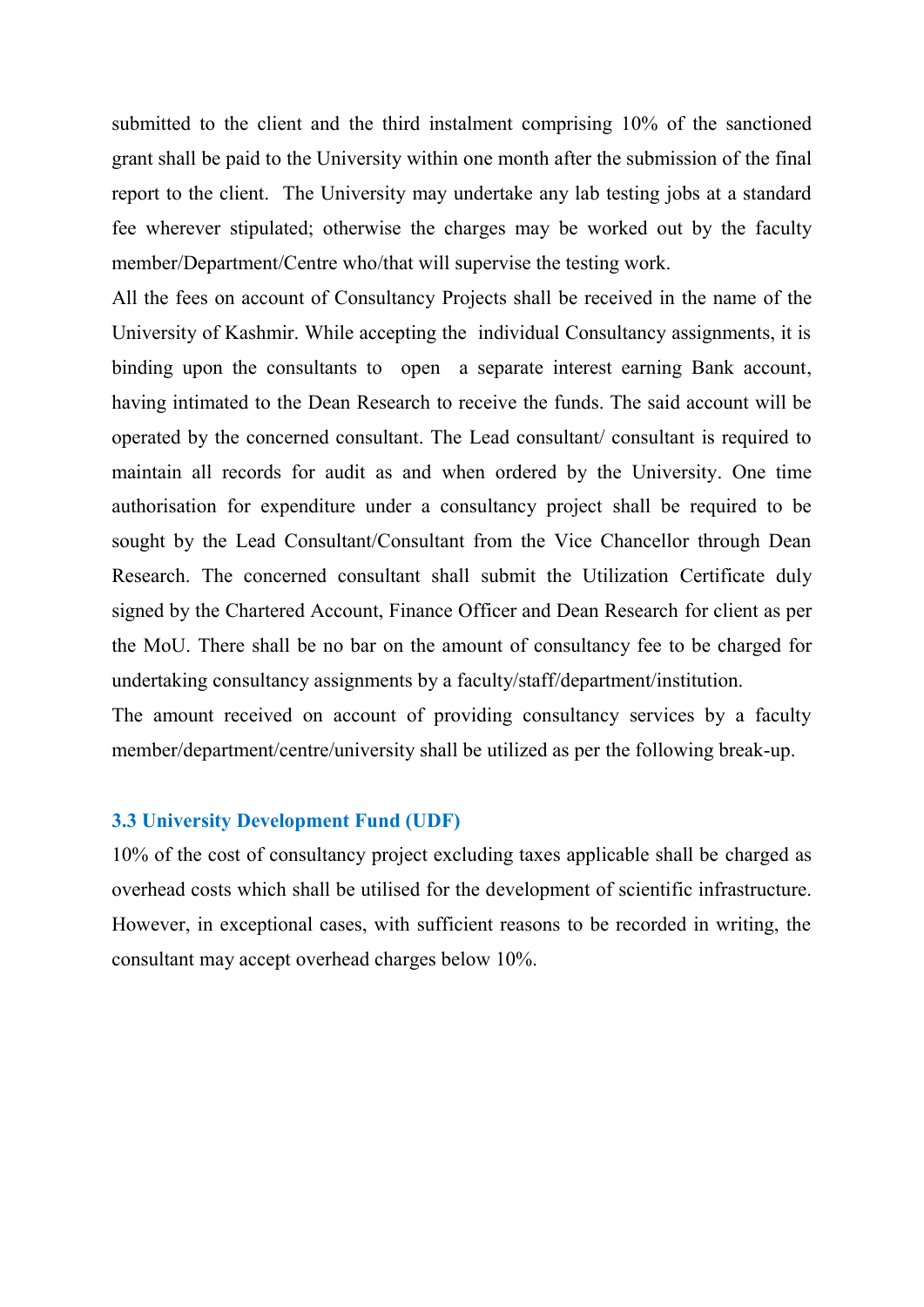submitted to the client and the third instalment comprising 10% of the sanctioned grant shall be paid to the University within one month after the submission of the final report to the client. The University may undertake any lab testing jobs at a standard fee wherever stipulated; otherwise the charges may be worked out by the faculty member/Department/Centre who/that will supervise the testing work.

All the fees on account of Consultancy Projects shall be received in the name of the University of Kashmir. While accepting the individual Consultancy assignments, it is binding upon the consultants to open a separate interest earning Bank account, having intimated to the Dean Research to receive the funds. The said account will be operated by the concerned consultant. The Lead consultant/ consultant is required to maintain all records for audit as and when ordered by the University. One time authorisation for expenditure under a consultancy project shall be required to be sought by the Lead Consultant/Consultant from the Vice Chancellor through Dean Research. The concerned consultant shall submit the Utilization Certificate duly signed by the Chartered Account, Finance Officer and Dean Research for client as per the MoU. There shall be no bar on the amount of consultancy fee to be charged for undertaking consultancy assignments by a faculty/staff/department/institution.

The amount received on account of providing consultancy services by a faculty member/department/centre/university shall be utilized as per the following break-up.

#### **3.3 University Development Fund (UDF)**

10% of the cost of consultancy project excluding taxes applicable shall be charged as overhead costs which shall be utilised for the development of scientific infrastructure. However, in exceptional cases, with sufficient reasons to be recorded in writing, the consultant may accept overhead charges below 10%.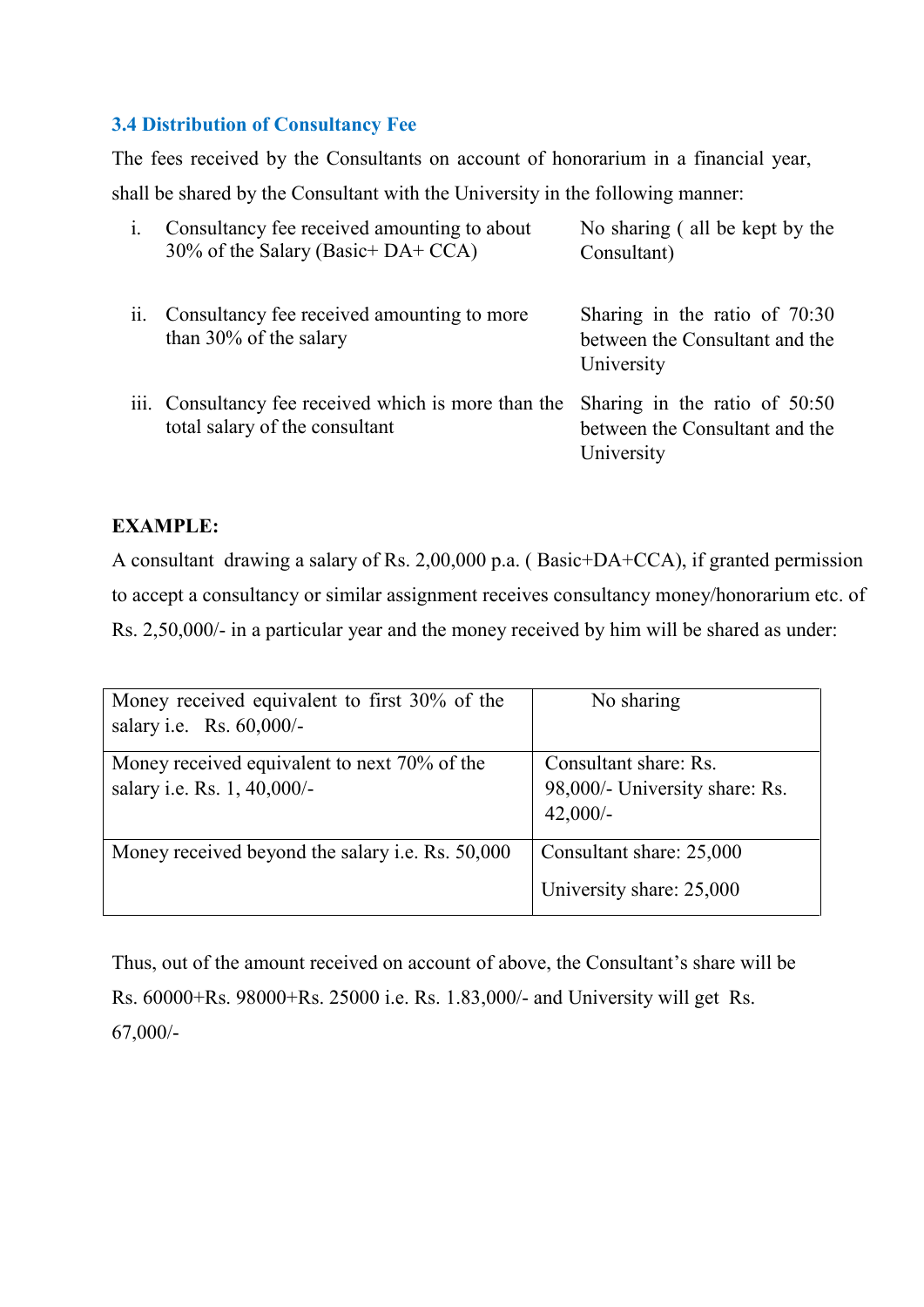## **3.4 Distribution of Consultancy Fee**

The fees received by the Consultants on account of honorarium in a financial year, shall be shared by the Consultant with the University in the following manner:

| 1.  | Consultancy fee received amounting to about<br>30% of the Salary (Basic+DA+CCA)        | No sharing (all be kept by the<br>Consultant)                                   |
|-----|----------------------------------------------------------------------------------------|---------------------------------------------------------------------------------|
| 11. | Consultancy fee received amounting to more<br>than $30\%$ of the salary                | Sharing in the ratio of $70:30$<br>between the Consultant and the<br>University |
|     | iii. Consultancy fee received which is more than the<br>total salary of the consultant | Sharing in the ratio of $50:50$<br>between the Consultant and the<br>University |

## **EXAMPLE:**

A consultant drawing a salary of Rs. 2,00,000 p.a. ( Basic+DA+CCA), if granted permission to accept a consultancy or similar assignment receives consultancy money/honorarium etc. of Rs. 2,50,000/- in a particular year and the money received by him will be shared as under:

| Money received equivalent to first 30% of the           | No sharing                                   |
|---------------------------------------------------------|----------------------------------------------|
| salary i.e. Rs. 60,000/-                                |                                              |
| Money received equivalent to next 70% of the            | Consultant share: Rs.                        |
| salary i.e. Rs. 1, 40,000/-                             | 98,000/- University share: Rs.<br>$42,000/-$ |
| Money received beyond the salary <i>i.e.</i> Rs. 50,000 | Consultant share: 25,000                     |
|                                                         | University share: 25,000                     |

Thus, out of the amount received on account of above, the Consultant's share will be Rs. 60000+Rs. 98000+Rs. 25000 i.e. Rs. 1.83,000/- and University will get Rs. 67,000/-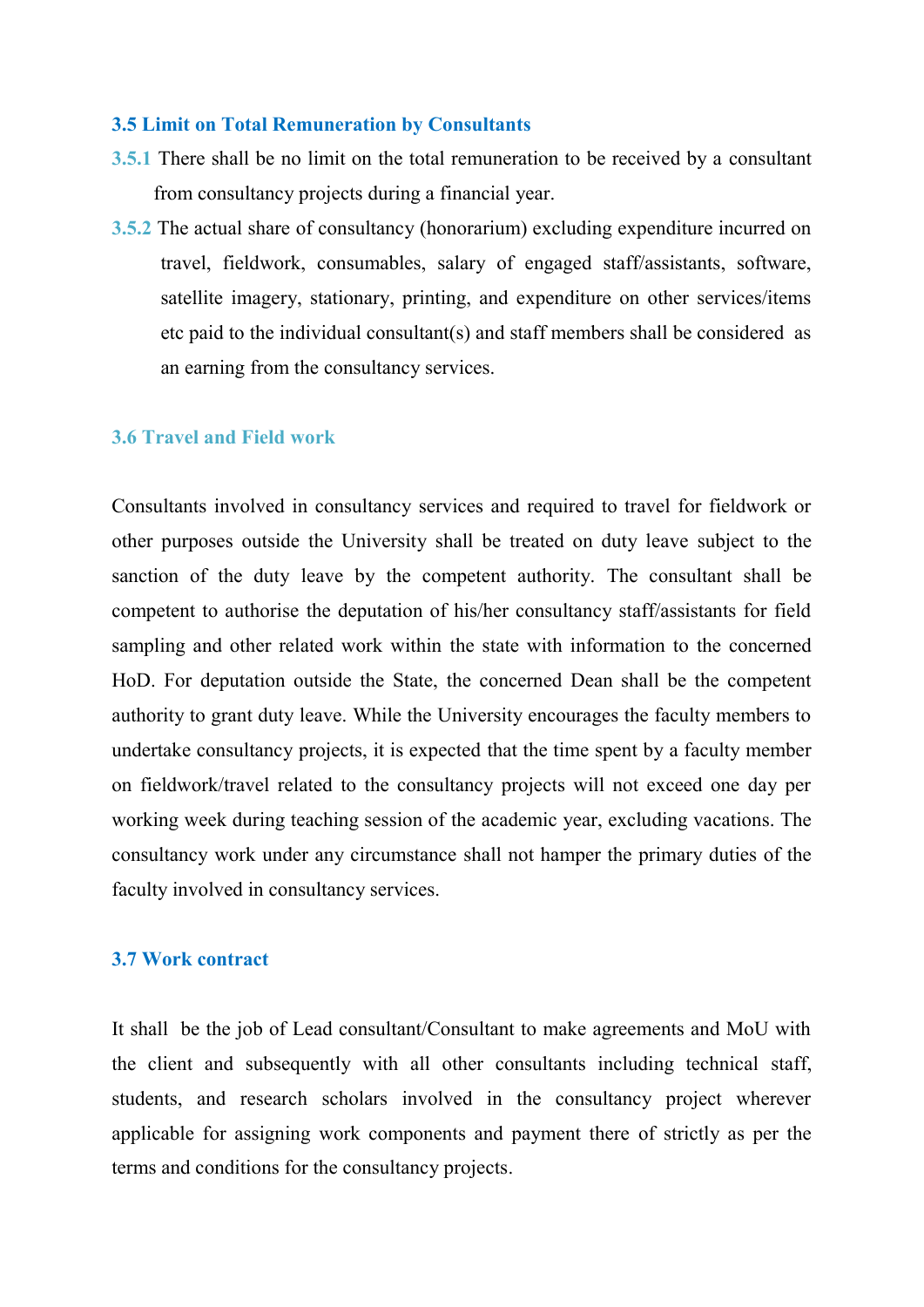#### **3.5 Limit on Total Remuneration by Consultants**

- **3.5.1** There shall be no limit on the total remuneration to be received by a consultant from consultancy projects during a financial year.
- **3.5.2** The actual share of consultancy (honorarium) excluding expenditure incurred on travel, fieldwork, consumables, salary of engaged staff/assistants, software, satellite imagery, stationary, printing, and expenditure on other services/items etc paid to the individual consultant(s) and staff members shall be considered as an earning from the consultancy services.

#### **3.6 Travel and Field work**

Consultants involved in consultancy services and required to travel for fieldwork or other purposes outside the University shall be treated on duty leave subject to the sanction of the duty leave by the competent authority. The consultant shall be competent to authorise the deputation of his/her consultancy staff/assistants for field sampling and other related work within the state with information to the concerned HoD. For deputation outside the State, the concerned Dean shall be the competent authority to grant duty leave. While the University encourages the faculty members to undertake consultancy projects, it is expected that the time spent by a faculty member on fieldwork/travel related to the consultancy projects will not exceed one day per working week during teaching session of the academic year, excluding vacations. The consultancy work under any circumstance shall not hamper the primary duties of the faculty involved in consultancy services.

## **3.7 Work contract**

It shall be the job of Lead consultant/Consultant to make agreements and MoU with the client and subsequently with all other consultants including technical staff, students, and research scholars involved in the consultancy project wherever applicable for assigning work components and payment there of strictly as per the terms and conditions for the consultancy projects.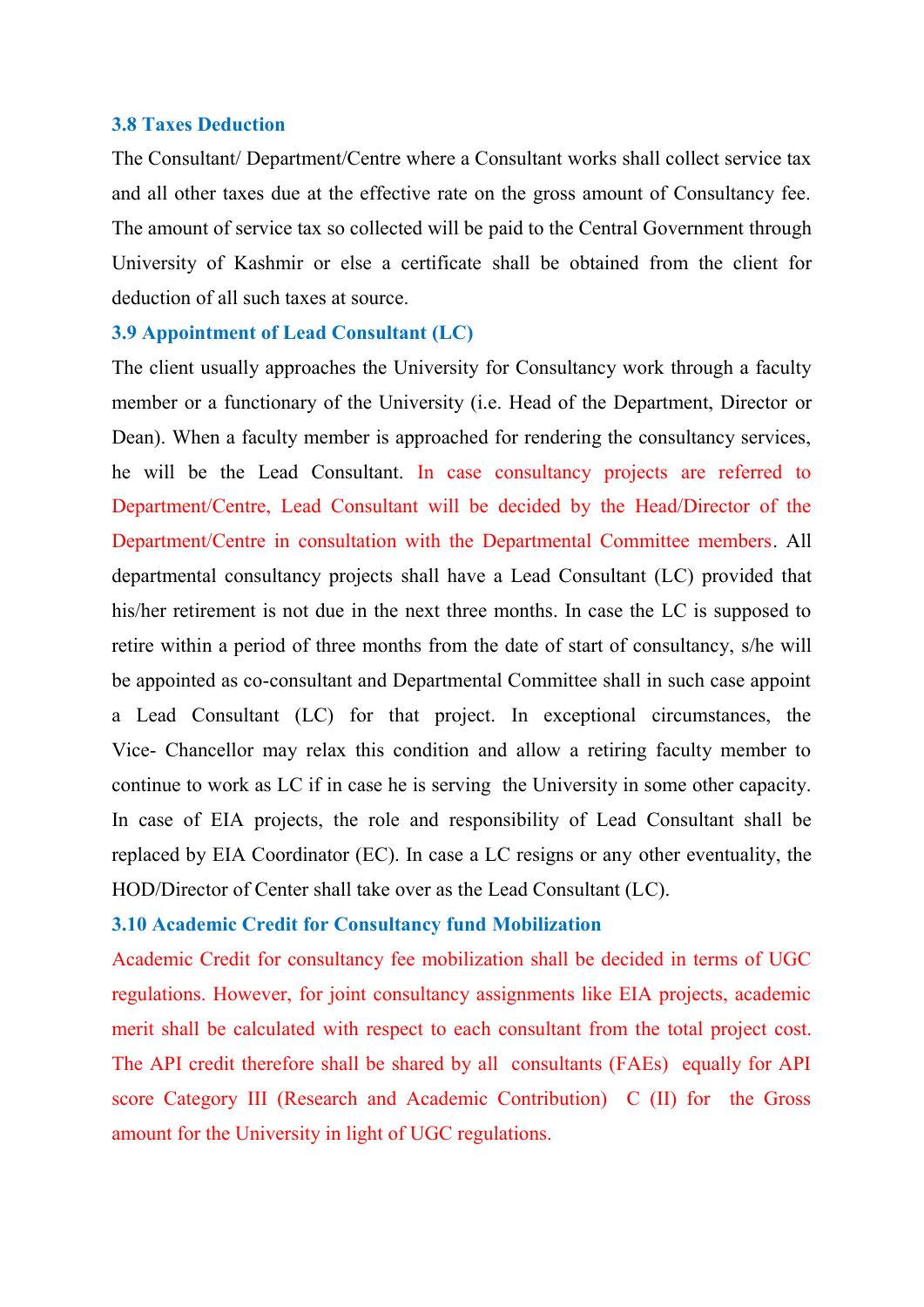#### **3.8 Taxes Deduction**

The Consultant/ Department/Centre where a Consultant works shall collect service tax and all other taxes due at the effective rate on the gross amount of Consultancy fee. The amount of service tax so collected will be paid to the Central Government through University of Kashmir or else a certificate shall be obtained from the client for deduction of all such taxes at source.

#### **3.9 Appointment of Lead Consultant (LC)**

The client usually approaches the University for Consultancy work through a faculty member or a functionary of the University (i.e. Head of the Department, Director or Dean). When a faculty member is approached for rendering the consultancy services, he will be the Lead Consultant. In case consultancy projects are referred to Department/Centre, Lead Consultant will be decided by the Head/Director of the Department/Centre in consultation with the Departmental Committee members. All departmental consultancy projects shall have a Lead Consultant (LC) provided that his/her retirement is not due in the next three months. In case the LC is supposed to retire within a period of three months from the date of start of consultancy, s/he will be appointed as co-consultant and Departmental Committee shall in such case appoint a Lead Consultant (LC) for that project. In exceptional circumstances, the Vice- Chancellor may relax this condition and allow a retiring faculty member to continue to work as LC if in case he is serving the University in some other capacity. In case of EIA projects, the role and responsibility of Lead Consultant shall be replaced by EIA Coordinator (EC). In case a LC resigns or any other eventuality, the HOD/Director of Center shall take over as the Lead Consultant (LC).

#### **3.10 Academic Credit for Consultancy fund Mobilization**

Academic Credit for consultancy fee mobilization shall be decided in terms of UGC regulations. However, for joint consultancy assignments like EIA projects, academic merit shall be calculated with respect to each consultant from the total project cost. The API credit therefore shall be shared by all consultants (FAEs) equally for API score Category III (Research and Academic Contribution) C (II) for the Gross amount for the University in light of UGC regulations.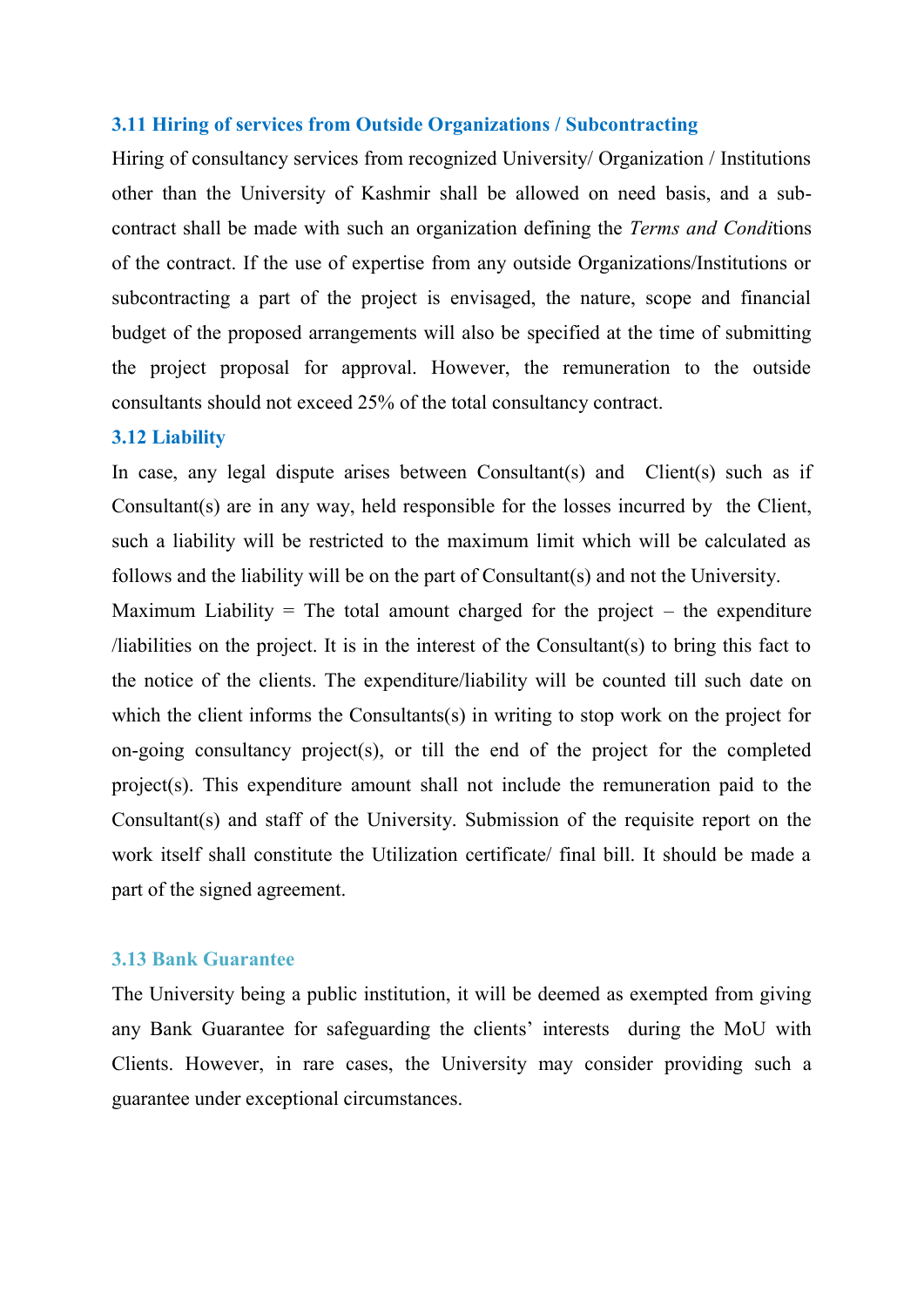#### **3.11 Hiring of services from Outside Organizations / Subcontracting**

Hiring of consultancy services from recognized University/ Organization / Institutions other than the University of Kashmir shall be allowed on need basis, and a sub contract shall be made with such an organization defining the *Terms and Condi*tions of the contract. If the use of expertise from any outside Organizations/Institutions or subcontracting a part of the project is envisaged, the nature, scope and financial budget of the proposed arrangements will also be specified at the time of submitting the project proposal for approval. However, the remuneration to the outside consultants should not exceed 25% of the total consultancy contract.

#### **3.12 Liability**

In case, any legal dispute arises between Consultant(s) and Client(s) such as if Consultant(s) are in any way, held responsible for the losses incurred by the Client, such a liability will be restricted to the maximum limit which will be calculated as follows and the liability will be on the part of Consultant(s) and not the University.

Maximum Liability = The total amount charged for the project  $-$  the expenditure /liabilities on the project. It is in the interest of the Consultant(s) to bring this fact to the notice of the clients. The expenditure/liability will be counted till such date on which the client informs the Consultants(s) in writing to stop work on the project for on-going consultancy project(s), or till the end of the project for the completed project(s). This expenditure amount shall not include the remuneration paid to the Consultant(s) and staff of the University. Submission of the requisite report on the work itself shall constitute the Utilization certificate/ final bill. It should be made a part of the signed agreement.

#### **3.13 Bank Guarantee**

The University being a public institution, it will be deemed as exempted from giving any Bank Guarantee for safeguarding the clients' interests during the MoU with Clients. However, in rare cases, the University may consider providing such a guarantee under exceptional circumstances.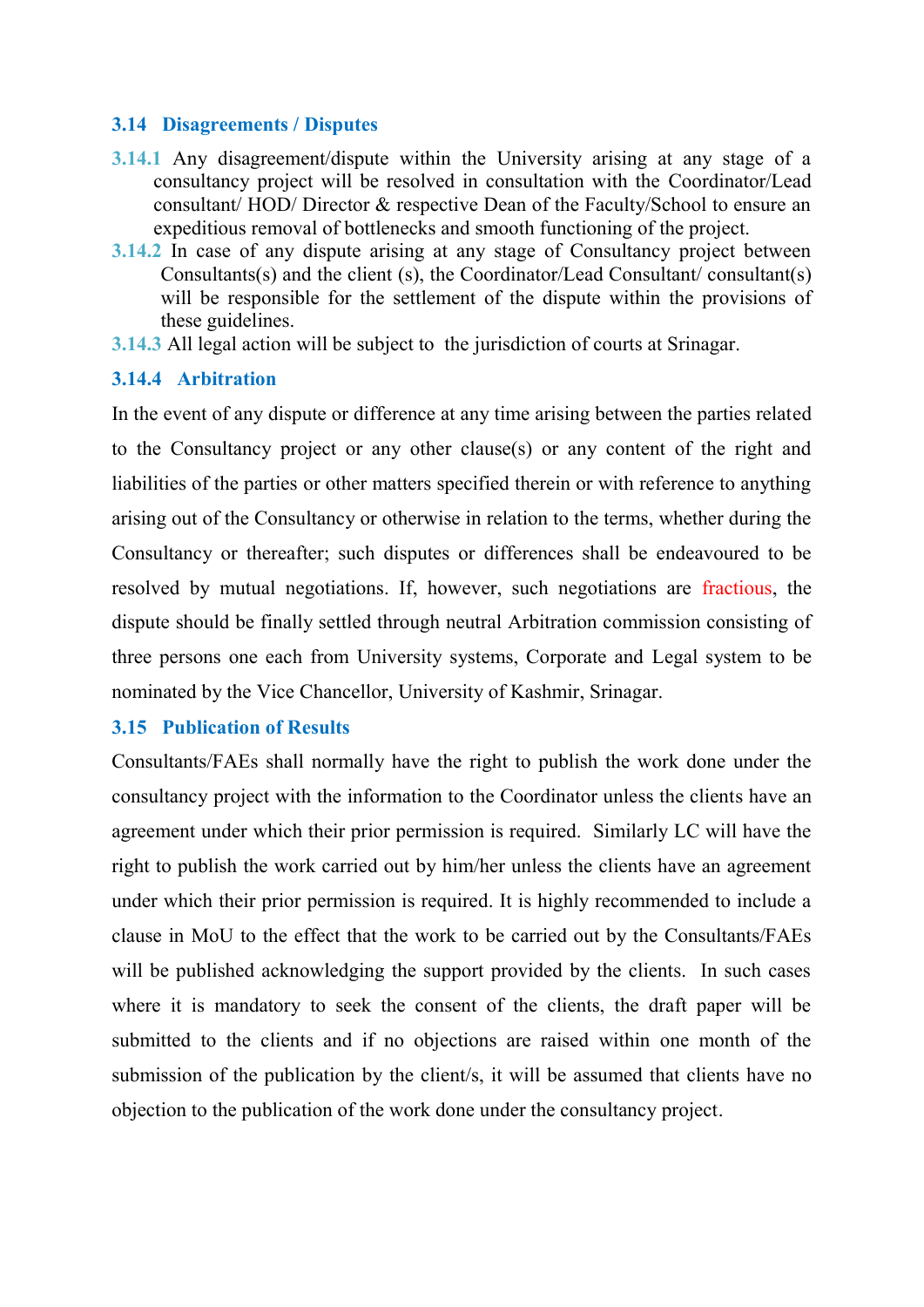#### **3.14 Disagreements / Disputes**

- **3.14.1** Any disagreement/dispute within the University arising at any stage of a consultancy project will be resolved in consultation with the Coordinator/Lead consultant/ HOD/ Director & respective Dean of the Faculty/School to ensure an expeditious removal of bottlenecks and smooth functioning of the project.
- **3.14.2** In case of any dispute arising at any stage of Consultancy project between Consultants(s) and the client (s), the Coordinator/Lead Consultant/ consultant(s) will be responsible for the settlement of the dispute within the provisions of these guidelines.
- **3.14.3** All legal action will be subject to the jurisdiction of courts at Srinagar.

## **3.14.4 Arbitration**

In the event of any dispute or difference at any time arising between the parties related to the Consultancy project or any other clause(s) or any content of the right and liabilities of the parties or other matters specified therein or with reference to anything arising out of the Consultancy or otherwise in relation to the terms, whether during the Consultancy or thereafter; such disputes or differences shall be endeavoured to be resolved by mutual negotiations. If, however, such negotiations are fractious, the dispute should be finally settled through neutral Arbitration commission consisting of three persons one each from University systems, Corporate and Legal system to be nominated by the Vice Chancellor, University of Kashmir, Srinagar.

## **3.15 Publication of Results**

Consultants/FAEs shall normally have the right to publish the work done under the consultancy project with the information to the Coordinator unless the clients have an agreement under which their prior permission is required. Similarly LC will have the right to publish the work carried out by him/her unless the clients have an agreement under which their prior permission is required. It is highly recommended to include a clause in MoU to the effect that the work to be carried out by the Consultants/FAEs will be published acknowledging the support provided by the clients. In such cases where it is mandatory to seek the consent of the clients, the draft paper will be submitted to the clients and if no objections are raised within one month of the submission of the publication by the client/s, it will be assumed that clients have no objection to the publication of the work done under the consultancy project.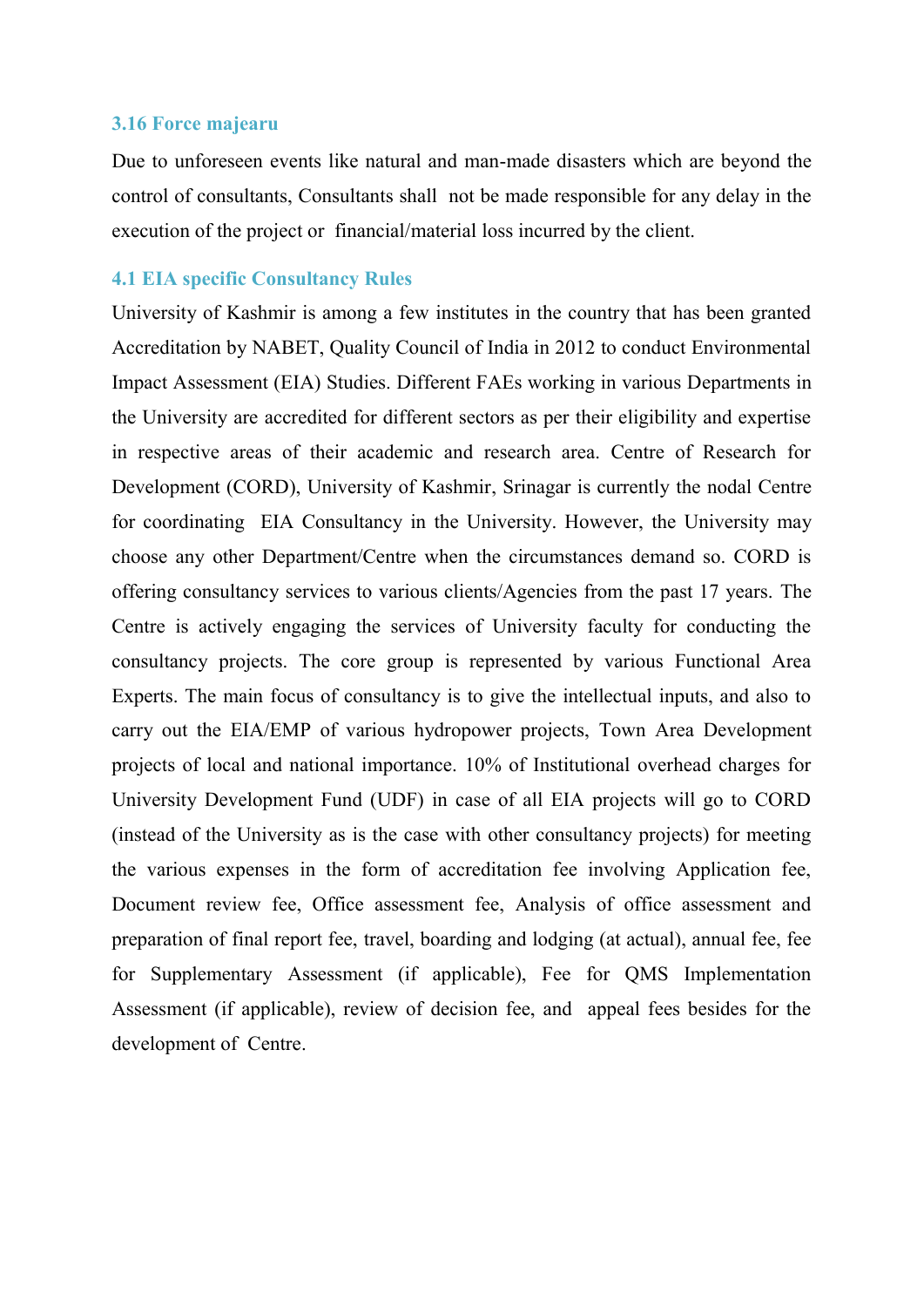#### **3.16 Force majearu**

Due to unforeseen events like natural and man-made disasters which are beyond the control of consultants, Consultants shall not be made responsible for any delay in the execution of the project or financial/material loss incurred by the client.

#### **4.1 EIA specific Consultancy Rules**

University of Kashmir is among a few institutes in the country that has been granted Accreditation by NABET, Quality Council of India in 2012 to conduct Environmental Impact Assessment (EIA) Studies. Different FAEs working in various Departments in the University are accredited for different sectors as per their eligibility and expertise in respective areas of their academic and research area. Centre of Research for Development (CORD), University of Kashmir, Srinagar is currently the nodal Centre for coordinating EIA Consultancy in the University. However, the University may choose any other Department/Centre when the circumstances demand so. CORD is offering consultancy services to various clients/Agencies from the past 17 years. The Centre is actively engaging the services of University faculty for conducting the consultancy projects. The core group is represented by various Functional Area Experts. The main focus of consultancy is to give the intellectual inputs, and also to carry out the EIA/EMP of various hydropower projects, Town Area Development projects of local and national importance. 10% of Institutional overhead charges for University Development Fund (UDF) in case of all EIA projects will go to CORD (instead of the University as is the case with other consultancy projects) for meeting the various expenses in the form of accreditation fee involving Application fee, Document review fee, Office assessment fee, Analysis of office assessment and preparation of final report fee, travel, boarding and lodging (at actual), annual fee, fee for Supplementary Assessment (if applicable), Fee for QMS Implementation Assessment (if applicable), review of decision fee, and appeal fees besides for the development of Centre.